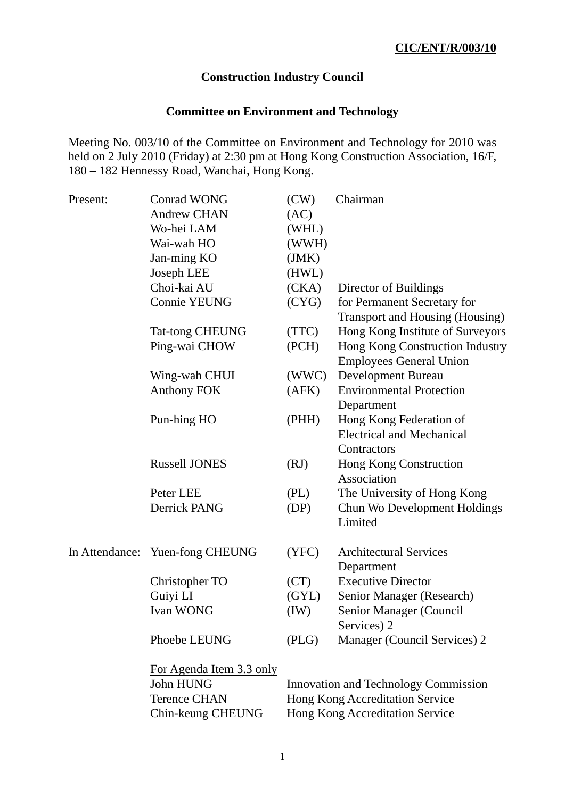## **Construction Industry Council**

# **Committee on Environment and Technology**

Meeting No. 003/10 of the Committee on Environment and Technology for 2010 was held on 2 July 2010 (Friday) at 2:30 pm at Hong Kong Construction Association, 16/F, 180 – 182 Hennessy Road, Wanchai, Hong Kong.

| Present: | <b>Conrad WONG</b>              | (CW)                            | Chairman                             |  |
|----------|---------------------------------|---------------------------------|--------------------------------------|--|
|          | <b>Andrew CHAN</b>              | (AC)                            |                                      |  |
|          | Wo-hei LAM                      | (WHL)                           |                                      |  |
|          | Wai-wah HO                      | (WWH)                           |                                      |  |
|          | Jan-ming KO                     | (JMK)                           |                                      |  |
|          | Joseph LEE                      | (HWL)                           |                                      |  |
|          | Choi-kai AU                     | (CKA)                           | Director of Buildings                |  |
|          | <b>Connie YEUNG</b>             | (CYG)                           | for Permanent Secretary for          |  |
|          |                                 |                                 | Transport and Housing (Housing)      |  |
|          | <b>Tat-tong CHEUNG</b>          | (TTC)                           | Hong Kong Institute of Surveyors     |  |
|          | Ping-wai CHOW                   | (PCH)                           | Hong Kong Construction Industry      |  |
|          |                                 |                                 | <b>Employees General Union</b>       |  |
|          | Wing-wah CHUI                   | (WWC)                           | <b>Development Bureau</b>            |  |
|          | <b>Anthony FOK</b>              | (AFK)                           | <b>Environmental Protection</b>      |  |
|          |                                 |                                 | Department                           |  |
|          | Pun-hing HO                     | (PHH)                           | Hong Kong Federation of              |  |
|          |                                 |                                 | <b>Electrical and Mechanical</b>     |  |
|          |                                 |                                 | Contractors                          |  |
|          | <b>Russell JONES</b>            | (RJ)                            | Hong Kong Construction               |  |
|          |                                 |                                 | Association                          |  |
|          | Peter LEE                       | (PL)                            | The University of Hong Kong          |  |
|          | Derrick PANG                    | (DP)                            | Chun Wo Development Holdings         |  |
|          |                                 |                                 | Limited                              |  |
|          | In Attendance: Yuen-fong CHEUNG | (YFC)                           | <b>Architectural Services</b>        |  |
|          |                                 |                                 | Department                           |  |
|          | Christopher TO                  | (CT)                            | <b>Executive Director</b>            |  |
|          | Guiyi LI                        | (GYL)                           | Senior Manager (Research)            |  |
|          | <b>Ivan WONG</b>                | (IW)                            | Senior Manager (Council              |  |
|          |                                 |                                 | Services) 2                          |  |
|          | Phoebe LEUNG                    | (PLG)                           | Manager (Council Services) 2         |  |
|          | For Agenda Item 3.3 only        |                                 |                                      |  |
|          | John HUNG                       |                                 | Innovation and Technology Commission |  |
|          | <b>Terence CHAN</b>             | Hong Kong Accreditation Service |                                      |  |
|          | Chin-keung CHEUNG               | Hong Kong Accreditation Service |                                      |  |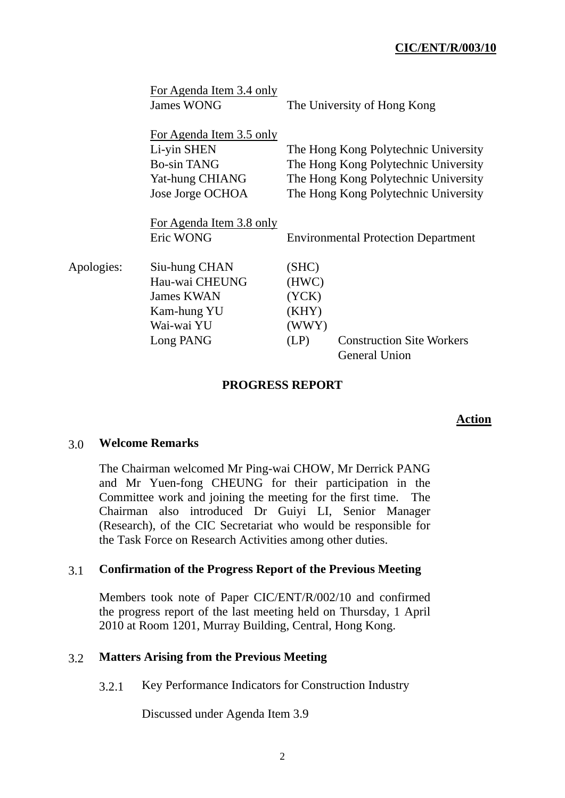|            | For Agenda Item 3.4 only<br>James WONG                                                               |                                                   | The University of Hong Kong                                                                                                                                  |
|------------|------------------------------------------------------------------------------------------------------|---------------------------------------------------|--------------------------------------------------------------------------------------------------------------------------------------------------------------|
|            | For Agenda Item 3.5 only<br>Li-yin SHEN<br><b>Bo-sin TANG</b><br>Yat-hung CHIANG<br>Jose Jorge OCHOA |                                                   | The Hong Kong Polytechnic University<br>The Hong Kong Polytechnic University<br>The Hong Kong Polytechnic University<br>The Hong Kong Polytechnic University |
|            | <u>For Agenda Item 3.8 only</u><br>Eric WONG                                                         |                                                   | <b>Environmental Protection Department</b>                                                                                                                   |
| Apologies: | Siu-hung CHAN<br>Hau-wai CHEUNG<br><b>James KWAN</b><br>Kam-hung YU<br>Wai-wai YU<br>Long PANG       | (SHC)<br>(HWC)<br>(YCK)<br>(KHY)<br>(WWY)<br>(LP) | <b>Construction Site Workers</b><br><b>General Union</b>                                                                                                     |

### **PROGRESS REPORT**

#### **Action**

### 3.0 **Welcome Remarks**

The Chairman welcomed Mr Ping-wai CHOW, Mr Derrick PANG and Mr Yuen-fong CHEUNG for their participation in the Committee work and joining the meeting for the first time. The Chairman also introduced Dr Guiyi LI, Senior Manager (Research), of the CIC Secretariat who would be responsible for the Task Force on Research Activities among other duties.

#### 3.1 **Confirmation of the Progress Report of the Previous Meeting**

Members took note of Paper CIC/ENT/R/002/10 and confirmed the progress report of the last meeting held on Thursday, 1 April 2010 at Room 1201, Murray Building, Central, Hong Kong.

#### 3.2 **Matters Arising from the Previous Meeting**

3.2.1 Key Performance Indicators for Construction Industry

Discussed under Agenda Item 3.9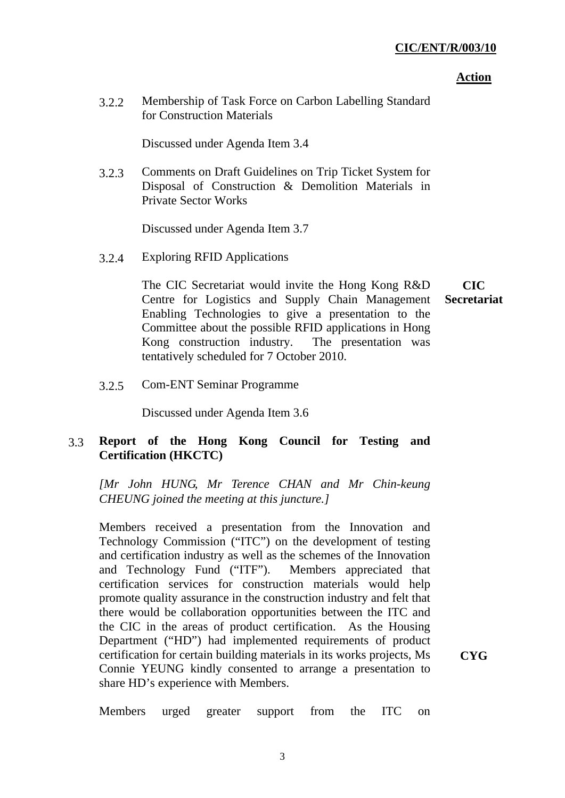#### **Action**

3.2.2 Membership of Task Force on Carbon Labelling Standard for Construction Materials

Discussed under Agenda Item 3.4

3.2.3 Comments on Draft Guidelines on Trip Ticket System for Disposal of Construction & Demolition Materials in Private Sector Works

Discussed under Agenda Item 3.7

3.2.4 Exploring RFID Applications

The CIC Secretariat would invite the Hong Kong R&D Centre for Logistics and Supply Chain Management Enabling Technologies to give a presentation to the Committee about the possible RFID applications in Hong Kong construction industry. The presentation was tentatively scheduled for 7 October 2010. **CIC Secretariat** 

3.2.5 Com-ENT Seminar Programme

Discussed under Agenda Item 3.6

# 3.3 **Report of the Hong Kong Council for Testing and Certification (HKCTC)**

*[Mr John HUNG, Mr Terence CHAN and Mr Chin-keung CHEUNG joined the meeting at this juncture.]* 

Members received a presentation from the Innovation and Technology Commission ("ITC") on the development of testing and certification industry as well as the schemes of the Innovation and Technology Fund ("ITF"). Members appreciated that certification services for construction materials would help promote quality assurance in the construction industry and felt that there would be collaboration opportunities between the ITC and the CIC in the areas of product certification. As the Housing Department ("HD") had implemented requirements of product certification for certain building materials in its works projects, Ms Connie YEUNG kindly consented to arrange a presentation to share HD's experience with Members.

**CYG** 

Members urged greater support from the ITC on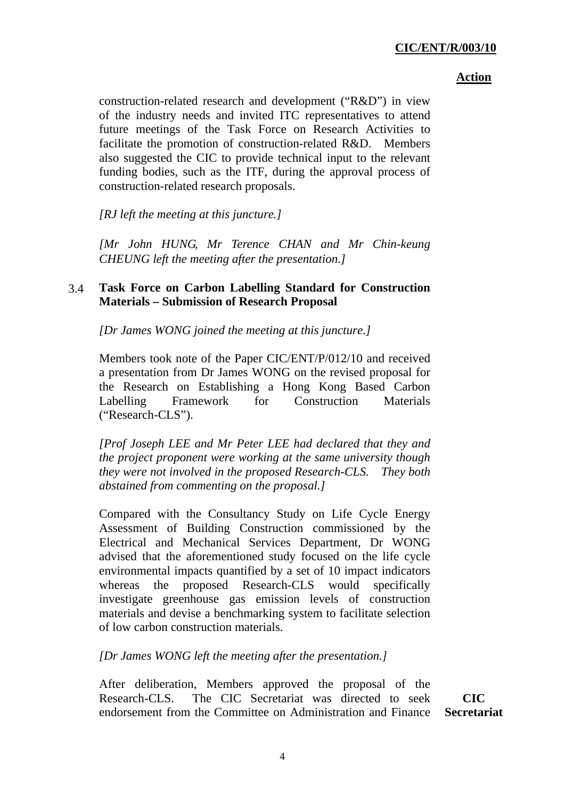construction-related research and development ("R&D") in view of the industry needs and invited ITC representatives to attend future meetings of the Task Force on Research Activities to facilitate the promotion of construction-related R&D. Members also suggested the CIC to provide technical input to the relevant funding bodies, such as the ITF, during the approval process of construction-related research proposals.

*[RJ left the meeting at this juncture.]* 

*[Mr John HUNG, Mr Terence CHAN and Mr Chin-keung CHEUNG left the meeting after the presentation.]* 

## 3.4 **Task Force on Carbon Labelling Standard for Construction Materials – Submission of Research Proposal**

*[Dr James WONG joined the meeting at this juncture.]* 

Members took note of the Paper CIC/ENT/P/012/10 and received a presentation from Dr James WONG on the revised proposal for the Research on Establishing a Hong Kong Based Carbon Labelling Framework for Construction Materials ("Research-CLS").

*[Prof Joseph LEE and Mr Peter LEE had declared that they and the project proponent were working at the same university though they were not involved in the proposed Research-CLS. They both abstained from commenting on the proposal.]* 

Compared with the Consultancy Study on Life Cycle Energy Assessment of Building Construction commissioned by the Electrical and Mechanical Services Department, Dr WONG advised that the aforementioned study focused on the life cycle environmental impacts quantified by a set of 10 impact indicators whereas the proposed Research-CLS would specifically investigate greenhouse gas emission levels of construction materials and devise a benchmarking system to facilitate selection of low carbon construction materials.

*[Dr James WONG left the meeting after the presentation.]* 

After deliberation, Members approved the proposal of the Research-CLS. The CIC Secretariat was directed to seek endorsement from the Committee on Administration and Finance

**CIC Secretariat**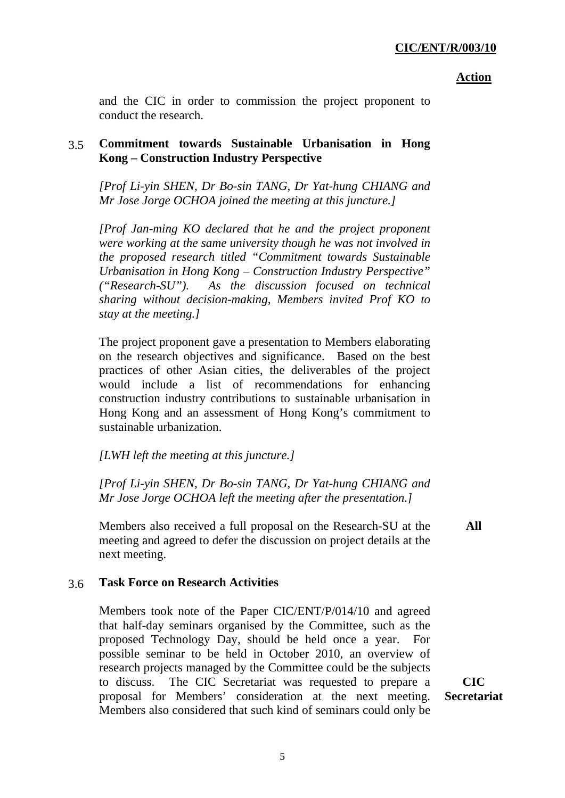and the CIC in order to commission the project proponent to conduct the research.

## 3.5 **Commitment towards Sustainable Urbanisation in Hong Kong – Construction Industry Perspective**

*[Prof Li-yin SHEN, Dr Bo-sin TANG, Dr Yat-hung CHIANG and Mr Jose Jorge OCHOA joined the meeting at this juncture.]* 

*[Prof Jan-ming KO declared that he and the project proponent were working at the same university though he was not involved in the proposed research titled "Commitment towards Sustainable Urbanisation in Hong Kong – Construction Industry Perspective" ("Research-SU"). As the discussion focused on technical sharing without decision-making, Members invited Prof KO to stay at the meeting.]* 

The project proponent gave a presentation to Members elaborating on the research objectives and significance. Based on the best practices of other Asian cities, the deliverables of the project would include a list of recommendations for enhancing construction industry contributions to sustainable urbanisation in Hong Kong and an assessment of Hong Kong's commitment to sustainable urbanization.

### *[LWH left the meeting at this juncture.]*

*[Prof Li-yin SHEN, Dr Bo-sin TANG, Dr Yat-hung CHIANG and Mr Jose Jorge OCHOA left the meeting after the presentation.]* 

Members also received a full proposal on the Research-SU at the meeting and agreed to defer the discussion on project details at the next meeting.

# **All**

# 3.6 **Task Force on Research Activities**

Members took note of the Paper CIC/ENT/P/014/10 and agreed that half-day seminars organised by the Committee, such as the proposed Technology Day, should be held once a year. For possible seminar to be held in October 2010, an overview of research projects managed by the Committee could be the subjects to discuss. The CIC Secretariat was requested to prepare a proposal for Members' consideration at the next meeting. Members also considered that such kind of seminars could only be

**CIC Secretariat**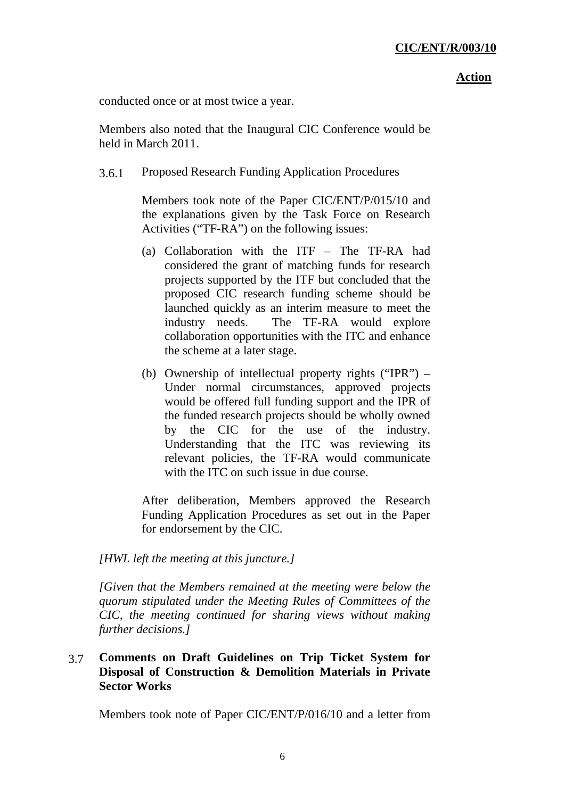conducted once or at most twice a year.

Members also noted that the Inaugural CIC Conference would be held in March 2011.

3.6.1 Proposed Research Funding Application Procedures

Members took note of the Paper CIC/ENT/P/015/10 and the explanations given by the Task Force on Research Activities ("TF-RA") on the following issues:

- (a) Collaboration with the ITF The TF-RA had considered the grant of matching funds for research projects supported by the ITF but concluded that the proposed CIC research funding scheme should be launched quickly as an interim measure to meet the industry needs. The TF-RA would explore collaboration opportunities with the ITC and enhance the scheme at a later stage.
- (b) Ownership of intellectual property rights ("IPR") Under normal circumstances, approved projects would be offered full funding support and the IPR of the funded research projects should be wholly owned by the CIC for the use of the industry. Understanding that the ITC was reviewing its relevant policies, the TF-RA would communicate with the ITC on such issue in due course.

After deliberation, Members approved the Research Funding Application Procedures as set out in the Paper for endorsement by the CIC.

### *[HWL left the meeting at this juncture.]*

*[Given that the Members remained at the meeting were below the quorum stipulated under the Meeting Rules of Committees of the CIC, the meeting continued for sharing views without making further decisions.]* 

# 3.7 **Comments on Draft Guidelines on Trip Ticket System for Disposal of Construction & Demolition Materials in Private Sector Works**

Members took note of Paper CIC/ENT/P/016/10 and a letter from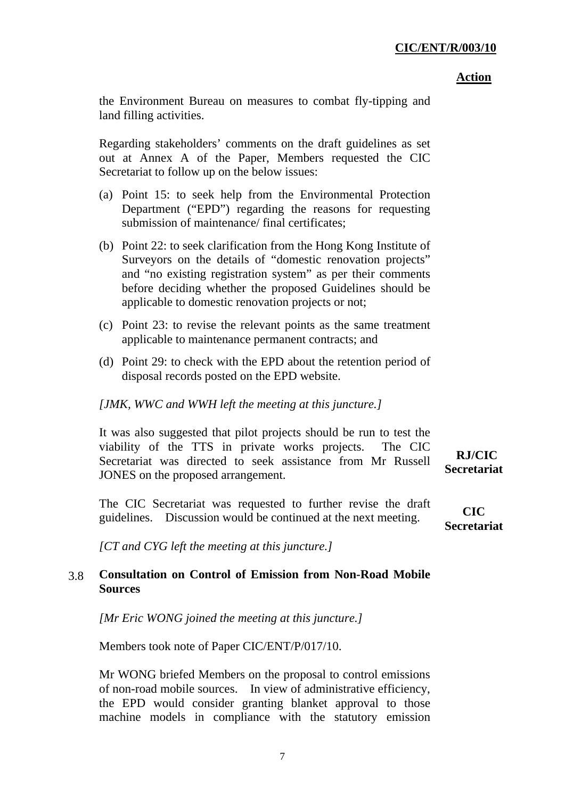#### **Action**

the Environment Bureau on measures to combat fly-tipping and land filling activities.

Regarding stakeholders' comments on the draft guidelines as set out at Annex A of the Paper, Members requested the CIC Secretariat to follow up on the below issues:

- (a) Point 15: to seek help from the Environmental Protection Department ("EPD") regarding the reasons for requesting submission of maintenance/ final certificates;
- (b) Point 22: to seek clarification from the Hong Kong Institute of Surveyors on the details of "domestic renovation projects" and "no existing registration system" as per their comments before deciding whether the proposed Guidelines should be applicable to domestic renovation projects or not;
- (c) Point 23: to revise the relevant points as the same treatment applicable to maintenance permanent contracts; and
- (d) Point 29: to check with the EPD about the retention period of disposal records posted on the EPD website.

## *[JMK, WWC and WWH left the meeting at this juncture.]*

It was also suggested that pilot projects should be run to test the viability of the TTS in private works projects. The CIC Secretariat was directed to seek assistance from Mr Russell JONES on the proposed arrangement.

The CIC Secretariat was requested to further revise the draft guidelines. Discussion would be continued at the next meeting.

**CIC Secretariat**

 **RJ/CIC Secretariat** 

*[CT and CYG left the meeting at this juncture.]* 

# 3.8 **Consultation on Control of Emission from Non-Road Mobile Sources**

*[Mr Eric WONG joined the meeting at this juncture.]* 

Members took note of Paper CIC/ENT/P/017/10.

Mr WONG briefed Members on the proposal to control emissions of non-road mobile sources. In view of administrative efficiency, the EPD would consider granting blanket approval to those machine models in compliance with the statutory emission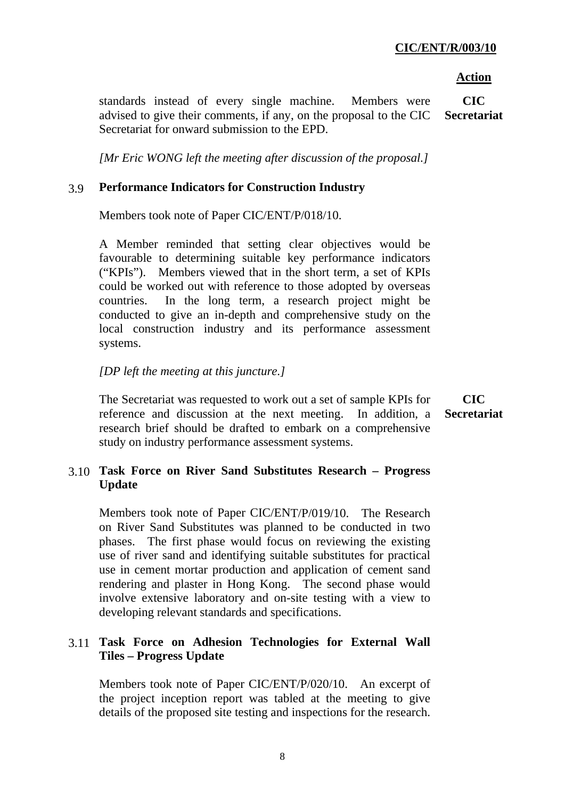standards instead of every single machine. Members were advised to give their comments, if any, on the proposal to the CIC Secretariat for onward submission to the EPD. **CIC Secretariat** 

*[Mr Eric WONG left the meeting after discussion of the proposal.]* 

## 3.9 **Performance Indicators for Construction Industry**

Members took note of Paper CIC/ENT/P/018/10.

A Member reminded that setting clear objectives would be favourable to determining suitable key performance indicators ("KPIs"). Members viewed that in the short term, a set of KPIs could be worked out with reference to those adopted by overseas countries. In the long term, a research project might be conducted to give an in-depth and comprehensive study on the local construction industry and its performance assessment systems.

## *[DP left the meeting at this juncture.]*

The Secretariat was requested to work out a set of sample KPIs for reference and discussion at the next meeting. In addition, a research brief should be drafted to embark on a comprehensive study on industry performance assessment systems. **CIC Secretariat** 

# 3.10 **Task Force on River Sand Substitutes Research – Progress Update**

Members took note of Paper CIC/ENT/P/019/10. The Research on River Sand Substitutes was planned to be conducted in two phases. The first phase would focus on reviewing the existing use of river sand and identifying suitable substitutes for practical use in cement mortar production and application of cement sand rendering and plaster in Hong Kong. The second phase would involve extensive laboratory and on-site testing with a view to developing relevant standards and specifications.

# 3.11 **Task Force on Adhesion Technologies for External Wall Tiles – Progress Update**

Members took note of Paper CIC/ENT/P/020/10. An excerpt of the project inception report was tabled at the meeting to give details of the proposed site testing and inspections for the research.